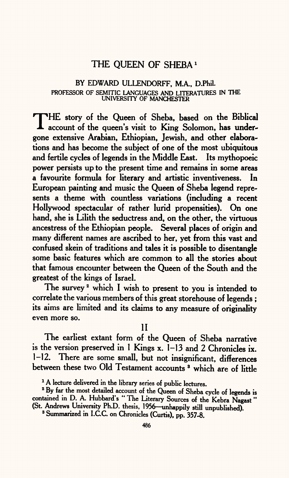# THE QUEEN OF SHEBA *1*

#### BY EDWARD ULLENDORFF, M.A., D.Phil. PROFESSOR OF SEMITIC LANGUAGES AND LITERATURES IN THE UNIVERSITY OF MANCHESTER

THE story of the Queen of Sheba, based on the Biblical<br>Recount of the queen's visit to King Solomon, has underaccount of the queen's visit to King Solomon, has undergone extensive Arabian, Ethiopian, Jewish, and other elaborations and has become the subject of one of the most ubiquitous and fertile cycles of legends in the Middle East. Its mythopoeic power persists up to the present time and remains in some areas a favourite formula for literary and artistic inventiveness. In European painting and music the Queen of Sheba legend represents a theme with countless variations (including a recent Hollywood spectacular of rather lurid propensities). On one hand, she is Lilith the seductress and, on the other, the virtuous ancestress of the Ethiopian people. Several places of origin and many different names are ascribed to her, yet from this vast and confused skein of traditions and tales it is possible to disentangle some basic features which are common to all the stories about that famous encounter between the Queen of the South and the greatest of the kings of Israel.

The survey<sup>2</sup> which I wish to present to you is intended to correlate the various members of this great storehouse of legends ; its aims are limited and its claims to any measure of originality even more so.

II

The earliest extant form of the Queen of Sheba narrative is the version preserved in 1 Kings x. 1-13 and 2 Chronicles ix. 1-12. There are some small, but not insignificant, differences between these two Old Testament accounts<sup>3</sup> which are of little

<sup>&</sup>lt;sup>1</sup> A lecture delivered in the library series of public lectures.

<sup>&</sup>lt;sup>2</sup> By far the most detailed account of the Queen of Sheba cycle of legends is contained in D. A. Hubbard's "The Literary Sources of the Kebra Nagast" (St. Andrews University Ph.D. thesis, 1956—unhappily still unpublished).

<sup>&</sup>lt;sup>3</sup> Summarized in I.C.C. on Chronicles (Curtis), pp. 357-8.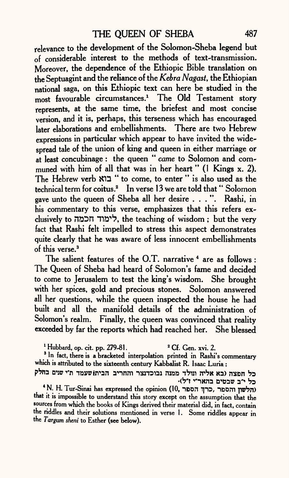relevance to the development of the Solomon-Sheba legend but of considerable interest to the methods of text-transmission. Moreover, the dependence of the Ethiopic Bible translation on the Septuagint and the reliance of the *Kebra Nagast,* the Ethiopian national saga, on this Ethiopic text can here be studied in the most favourable circumstances.1 The Old Testament story represents, at the same time, the briefest and most concise version, and it is, perhaps, this terseness which has encouraged later elaborations and embellishments. There are two Hebrew expressions in particular which appear to have invited the widespread tale of the union of king and queen in either marriage or at least concubinage : the queen " *came* to Solomon and communed with him of all that was in her heart " (1 Kings x. 2). The Hebrew verb KD " to come, to enter " is also used as the technical term for coitus.<sup>2</sup> In verse 13 we are told that "Solomon gave unto the queen of Sheba all her desire . . . ". Rashi, in his commentary to this verse, emphasizes that this refers exclusively to n&Dn TW1?, the teaching of wisdom ; but the very fact that Rashi felt impelled to stress this aspect demonstrates quite clearly that he was aware of less innocent embellishments of this verse. 3

The salient features of the O.T. narrative <sup>4</sup> are as follows : The Queen of Sheba had heard of Solomon's fame and decided to come to Jerusalem to test the king's wisdom. She brought with her spices, gold and precious stones. Solomon answered all her questions, while the queen inspected the house he had built and all the manifold details of the administration of Solomon's realm. Finally, the queen was convinced that reality exceeded by far the reports which had reached her. She blessed

<sup>1</sup> Hubbard, op. cit. pp. 279-81.  $2.2$  <sup>2</sup> Cf. Gen. xvi. 2.

<sup>3</sup> In fact, there is a bracketed interpolation printed in Rashi's commentary which is attributed to the sixteenth century Kabbalist R. Isaac Luria :

כל חפצה (בא אליה ונולד ממנה נבוכדנצר והחריב הביתןשעמד ת"י שנים בחלק<br>כל י"ב שבטים בהאר"י ז"ל)

\* N. H. Tur-Sinai has expressed the opinion (10, הלשון והספר, כרך א that it is impossible to understand this story except on the assumption that the sources from which the books of Kings derived their material did, in fact, contain the riddles and their solutions mentioned in verse 1. Some riddles appear in the *Targtan sheni* to Esther (see below).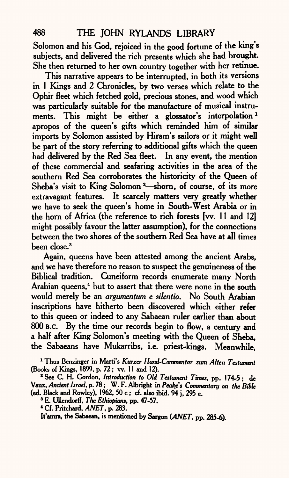Solomon and his God, rejoiced in the good fortune of the king's subjects, and delivered the rich presents which she had brought. She then returned to her own country together with her retinue.

This narrative appears to be interrupted, in both its versions in 1 Kings and 2 Chronicles, by two verses which relate to the Ophir fleet which fetched gold, precious stones, and wood which was particularly suitable for the manufacture of musical instruments. This might be either a glossator's interpolation *1*  apropos of the queen's gifts which reminded him of similar imports by Solomon assisted by Hiram's sailors or it might well be part of the story referring to additional gifts which the queen had delivered by the Red Sea fleet. In any event, the mention of these commercial and seafaring activities in the area of the southern Red Sea corroborates the historicity of the Queen of Sheba's visit to King Solomon<sup>2</sup>-shorn, of course, of its more extravagant features. It scarcely matters very greatly whether we have to seek the queen's home in South-West Arabia or in the horn of Africa (the reference to rich forests [w. 11 and 12] might possibly favour the latter assumption), for the connections between the two shores of the southern Red Sea have at all times been close.3

Again, queens have been attested among the ancient Arabs, and we have therefore no reason to suspect the genuineness of the Biblical tradition. Cuneiform records enumerate many North Arabian queens,<sup>4</sup> but to assert that there were none in the south would merely be an *argumentum e silentio.* No South Arabian inscriptions have hitherto been discovered which either refer to this queen or indeed to any Sabaean ruler earlier than about 800 B.C. By the time our records begin to flow, a century and <sup>a</sup>half after King Solomon's meeting with the Queen of Sheba, the Sabaeans have Mukarribs, i.e. priest-kings. Meanwhile,

1 Thus Benzinger in Marti's *Kurzer Hand-Commentar zum Alien Testament*  (Books of Kings, 1899, p. 72; w. II and 12).

8 See C. H. Gordon, *Introduction to Old Testament Times,* pp. 174-5; de Vaux, *Andent Israel,* p. 78; W. F. Albright in *Peakfs Commentary on the Bible*  (ed. Black and Rowley), 1962, 50 c; cf. also ibid. 94 j, 295 e.

8 E. Ullendorff, *The Ethiopian\*,* pp. 47-57.

4 Cf. Pritchard, *ANET,* p. 283.

It'amra, the Sabaean, is mentioned by Sargon *(ANET,* pp. 285-6).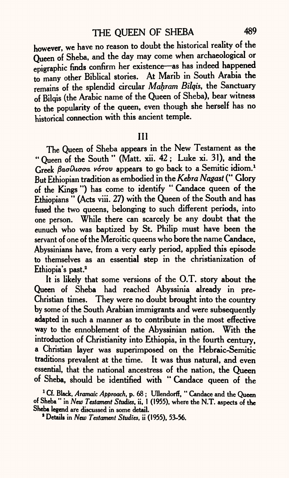however, we have no reason to doubt the historical reality of the Queen of Sheba, and the day may come when archaeological or epigraphic finds confirm her existence—as has indeed happened to many other Biblical stories. At Marib in South Arabia the remains of the splendid circular *Mahram Bilqis,* the Sanctuary of Bilqis (the Arabic name of the Queen of Sheba), bear witness to the popularity of the queen, even though she herself has no historical connection with this ancient temple.

### Ill

The Queen of Sheba appears in the New Testament as the " Queen of the South " (Matt. xii. 42; Luke xi. 31), and the Greek *βασίλισσα νότου* appears to go back to a Semitic idiom.<sup>1</sup> But Ethiopian tradition as embodied in the *Kebra Nagast* (" Glory of the Kings ") has come to identify " Candace queen of the Ethiopians " (Acts viii. 27) with the Queen of the South and has fused the two queens, belonging to such different periods, into one person. While there can scarcely be any doubt that the eunuch who was baptized by St. Philip must have been the servant of one of the Meroitic queens who bore the name Candace, Abyssinians have, from a very early period, applied this episode to themselves as an essential step in the christianization of Ethiopia's past.<sup>2</sup>

It is likely that some versions of the O.T. story about the Queen of Sheba had reached Abyssinia already in pre-Christian times. They were no doubt brought into the country by some of the South Arabian immigrants and were subsequently adapted in such a manner as to contribute in the most effective way to the ennoblement of the Abyssinian nation. With the introduction of Christianity into Ethiopia, in the fourth century, <sup>a</sup>Christian layer was superimposed on the Hebraic-Semitic traditions prevalent at the time. It was thus natural, and even essential, that the national ancestress of the nation, the Queen of Sheba, should be identified with " Candace queen of the

<sup>1</sup> Cf. Black, *Aramaic Approach*, p. 68; Ullendorff, "Candace and the Oueen of Sheba " In *New Testament Studies,* ii, 1 (1955), where the NT. aspects of the Sheba legend are discussed in some detail.

1 Details in *New Testament Studies,* ii (1955), 53-56.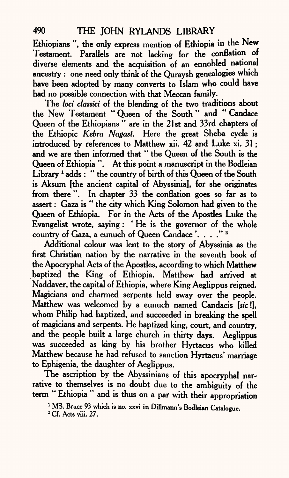Ethiopians ", the only express mention of Ethiopia in the New Testament. Parallels are not lacking for the conflation of diverse elements and the acquisition of an ennobled national ancestry : one need only think of the Quraysh genealogies which have been adopted by many converts to Islam who could have had no possible connection with that Meccan family.

The *loci classici* of the blending of the two traditions about the New Testament " Queen of the South " and " Candace Queen of the Ethiopians " are in the 21st and 33rd chapters of the Ethiopic *Kebra Nagast.* Here the great Sheba cycle is introduced by references to Matthew xii. 42 and Luke xi. 31 ; and we are then informed that " the Queen of the South is the Queen of Ethiopia ". At this point a manuscript in the Bodleian Library<sup>1</sup> adds: " the country of birth of this Queen of the South is Aksum [the ancient capital of Abyssinia], for she originates from there ". In chapter 33 the conflation goes so far as to assert: Gaza is " the city which King Solomon had given to the Queen of Ethiopia. For in the Acts of the Apostles Luke the Evangelist wrote, saying: ' He is the governor of the whole country of Gaza, a eunuch of Queen Candace '. . . ." 2

Additional colour was lent to the story of Abyssinia as the first Christian nation by the narrative in the seventh book of the Apocryphal Acts of the Apostles, according to which Matthew baptized the King of Ethiopia. Matthew had arrived at Naddaver, the capital of Ethiopia, where King Aeglippus reigned. Magicians and charmed serpents held sway over the people. Matthew was welcomed by a eunuch named Candacis [sic I], whom Philip had baptized, and succeeded in breaking the spell of magicians and serpents. He baptized king, court, and country, and the people built a large church in thirty days. Aeglippus was succeeded as king by his brother Hyrtacus who killed Matthew because he had refused to sanction Hyrtacus' marriage to Ephigenia, the daughter of Aeglippus.

The ascription by the Abyssinians of this apocryphal narrative to themselves is no doubt due to the ambiguity of the term " Ethiopia " and is thus on a par with their appropriation

<sup>&</sup>lt;sup>1</sup> MS. Bruce 93 which is no. xxvi in Dillmann's Bodleian Catalogue.

<sup>2</sup> Cf. Acts viii. 27.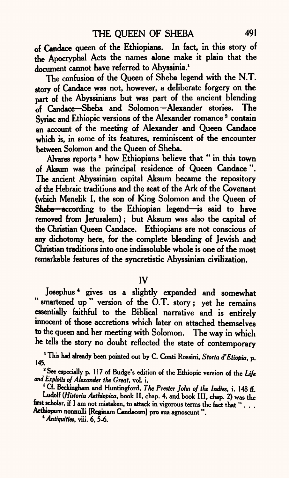of Candace queen of the Ethiopians. In fact, in this story of the Apocryphal Acts the names alone make it plain that the document cannot have referred to Abyssinia.<sup>1</sup>

The confusion of the Queen of Sheba legend with the N.T. story of Candace was not, however, a deliberate forgery on the part of the Abyssinians but was part of the ancient blending of Candace-Sheba and Solomon-Alexander stories. The Syriac and Ethiopic versions of the Alexander romance<sup>2</sup> contain an account of the meeting of Alexander and Queen Candace which is, in some of its features, reminiscent of the encounter between Solomon and the Queen of Sheba.

Alvares reports 3 how Ethiopians believe that " in this town of Aksum was the principal residence of Queen Candace ". The ancient Abyssinian capital Aksum became the repository of the Hebraic traditions and the seat of the Ark of the Covenant (which Menelik I, the son of King Solomon and the Queen of  $S$ heba—according to the Ethiopian legend—is said to have removed from Jerusalem) ; but Aksum was also the capital of the Christian Queen Candace. Ethiopians are not conscious of any dichotomy here, for the complete blending of Jewish and Christian traditions into one indissoluble whole is one of the most remarkable features of the syncretistic Abyssinian civilization.

IV

Josephus 4 gives us a slightly expanded and somewhat " smartened up" version of the O.T. story; yet he remains essentially faithful to the Biblical narrative and is entirely innocent of those accretions which later on attached themselves to the queen and her meeting with Solomon. The way in which he tells the story no doubt reflected the state of contemporary

1 This had already been pointed out by C. Conti Rossini, *Storia d'Etiopia,* p.

<sup>2</sup> See especially p. 117 of Budge's edition of the Ethiopic version of the Life *and Exploits of Alexander the Great,* vol. i.

8 Cf. Beckingham and Huntingford, *The Prester John of the Indies,* i. 148 ff. Ludolf (Historia Aethiopica, book II, chap. 4, and book III, chap. 2) was the first scholar, if I am not mistaken, to attack in vigorous terms the fact that "... Aethiopum nonnulli [Reginam Candacem] pro sua agnoscunt ".

*\* Antiquities,* viii. 6, 5-6.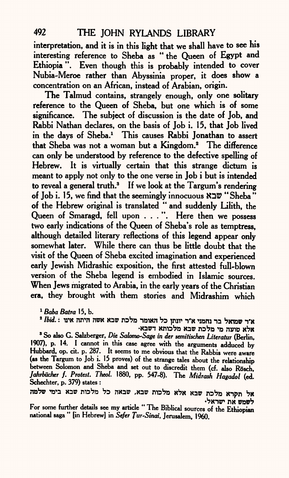interpretation, and it is in this light that we shall have to see his interesting reference to Sheba as "the Queen of Egypt and Ethiopia ". Even though this is probably intended to cover Nubia-Meroe rather than Abyssinia proper, it does show <sup>a</sup> concentration on an African, instead of Arabian, origin.

The Talmud contains, strangely enough, only one solitary reference to the Queen of Sheba, but one which is of some significance. The subject of discussion is the date of Job, and Rabbi Nathan declares, on the basis of Job i. 15, that Job lived in the days of Sheba.<sup>1</sup> This causes Rabbi Jonathan to assert that Sheba was not a woman but a Kingdom.<sup>2</sup> The difference can only be understood by reference to the defective spelling of Hebrew. It is virtually certain that this strange dictum is meant to apply not only to the one verse in Job i but is intended to reveal <sup>a</sup>general truth.3 If we look at the Targum's rendering of Job i. 15, we find that the seemingly innocuous  $\mathbb{X} \mathbb{Z}^n$  "Sheba" of the Hebrew original is translated " and suddenly Lilith, the Queen of Smaragd, fell upon . . . ". Here then we possess two early indications of the Queen of Sheba's role as temptress, although detailed literary reflections of this legend appear only somewhat later. While there can thus be little doubt that the visit of the Queen of Sheba excited imagination and experienced early Jewish Midrashic exposition, the first attested full-blown version of the Sheba legend is embodied in Islamic sources. When Jews migrated to Arabia, in the early years of the Christian era, they brought with them stories and Midrashim which

<sup>1</sup> *Baba Batra* 15, b.

א'ר שמואל בר נחמני א'ר יונתן כל האומר מלכת שבא אשה היתה אינו : Ibid.<br>אלא טועה מי מלכת שבא מלכותא דשבא

8 So also G. Salzberger, *Die Salomo-Sage in der semitischen Literatur* (Berlin, 1907), p. 14. I cannot in this case agree with the arguments adduced by Hubbard, op. cit. p. 287. It seems to me obvious that the Rabbis were aware (as the Targum to Job i. 15 proves) of the strange tales about the relationship between Solomon and Sheba and set out to discredit them (cf. also Rösch, *Jahrbticher* /. *Protest. Theoi* 1880, pp. 547-8). The *Midrash Hagadol* (ed. Schechter, p. 379) states :

אל תקרא מלכת שבא אלא מלכות שבא, שבאה כל מלכות שבא בימי שלמה לשמש את ישראלי

For some further details see my article " The Biblical sources of the Ethiopian national saga " [in Hebrewl in *Sefer Jur-Sinai,* Jerusalem, 1960.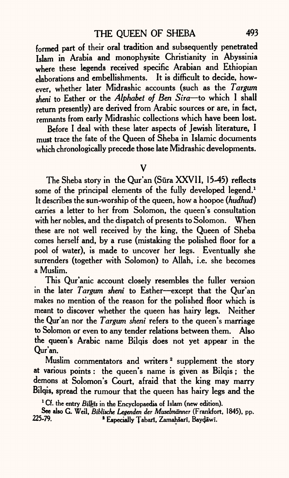formed part of their oral tradition and subsequently penetrated Islam in Arabia and monophysite Christianity in Abyssinia where these legends received specific Arabian and Ethiopian elaborations and embellishments. It is difficult to decide, however, whether later Midrashic accounts (such as the *Targwn sheni* to Esther or the *Alphabet of Ben Sira* to which I shall return presently) are derived from Arabic sources or are, in fact, remnants from early Midrashic collections which have been lost.

Before I deal with these later aspects of Jewish literature, I must trace the fate of the Queen of Sheba in Islamic documents which chronologically precede those late Midrashic developments.

V

The Sheba story in the Qur'an (Sūra XXVII, 15-45) reflects some of the principal elements of the fully developed legend.<sup>1</sup> It describes the sun-worship of the queen, how a hoopoe *(hudhud)*  carries a letter to her from Solomon, the queen's consultation with her nobles, and the dispatch of presents to Solomon. When these are not well received by the king, the Queen of Sheba comes herself and, by a ruse (mistaking the polished floor for <sup>a</sup> pool of water), is made to uncover her legs. Eventually she surrenders (together with Solomon) to Allah, i.e. she becomes <sup>a</sup>Muslim.

This Qur'anic account closely resembles the fuller version in the later *Targum sheni* to Esther-except that the Our'an makes no mention of the reason for the polished floor which is meant to discover whether the queen has hairy legs. Neither the Qur'an nor the *Targwn sheni* refers to the queen's marriage to Solomon or even to any tender relations between them. Also the queen's Arabic name Bilqis does not yet appear in the Qur'an.

Muslim commentators and writers<sup>2</sup> supplement the story at various points : the queen's name is given as Bilqis; the demons at Solomon's *Court,* afraid that the king may marry Bilqis, spread the rumour that the queen has hairy legs and the

<sup>&</sup>lt;sup>1</sup> Cf. the entry *Bilkis* in the Encyclopaedia of Islam (new edition).

See also G. Weil, *Biblische Legenden der Muselmanner* (Frankfort, 1845), pp. <sup>2</sup> Especially Tabarī, Zamahšarī, Baydāwī.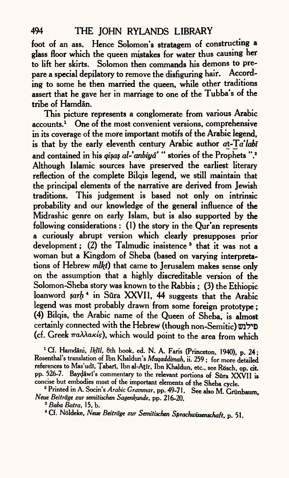• foot of an ass. Hence Solomon's stratagem of constructing <sup>a</sup> glass floor which the queen mistakes for water thus causing her to lift her skirts. Solomon then commands his demons to prepare a special depilatory to remove the disfiguring hair. According to some he then married the queen, while other traditions assert that he gave her in marriage to one of the Tubba's of the tribe of Hamdan.

This picture represents a conglomerate from various Arabic accounts.1 One of the most convenient versions, comprehensive in its coverage of the more important motifs of the Arabic legend, is that by the early eleventh century Arabic author at-Ta'labi and contained in his *qisa§ al-'anbiyd' "* stories of the Prophets ".2 Although Islamic sources have preserved the earliest literary reflection of the complete Bilqis legend, we still maintain that the principal elements of the narrative are derived from Jewish traditions. This judgement is based not only on intrinsic probability and our knowledge of the general influence of the Midrashic genre on early Islam, but is also supported by the following considerations : (1) the story in the Qur'an represents a curiously abrupt version which clearly presupposes prior development; (2) the Talmudic insistence<sup>3</sup> that it was not a woman but a Kingdom of Sheba (based on varying interpretations of Hebrew *mlkt)* that came to Jerusalem makes sense only on the assumption that a highly discreditable version of the Solomon-Sheba story was known to the Rabbis ; (3) the Ethiopic loanword *sarh* 4 in Sura XXVII, 44 suggests that the Arabic legend was most probably drawn from some foreign prototype; (4) Bilqis, the Arabic name of the Queen of Sheba, is almost certainly connected with the Hebrew (though non-Semitic) פילגש (cf. Greek  $\pi a\lambda\lambda a\kappa(s)$ , which would point to the area from which

<sup>1</sup> Cf. Hamdāni, *Iklīl*, 8th book, ed. N. A. Faris (Princeton, 1940), p. 24; Rosenthal's translation of Ibn Khaldun's *Muqaddimah,* ii. 259; for more detailed references to Mas'udi, Tabari, Ibn al-Atir, Ibn Khaldun, etc., see Rösch, op. cit. pp. 526-7. Baydāwī's commentary to the relevant portions of Sūra XXVII is concise but embodies most of the important elements of the Sheba cycle.

2 Printed in A. Socin's *Arabic Grammar,* pp. 49-71. See also M. Griinbaum, *Neue Beitrdge zur semitischen Sagenkunde,* pp. 216-20.

4 Cf. Noldeke, *Neue Beitrdge zur Semitischen Sprachwissenschaft,* p. 51.

<sup>&</sup>lt;sup>3</sup> *Baba Batra*, 15, b.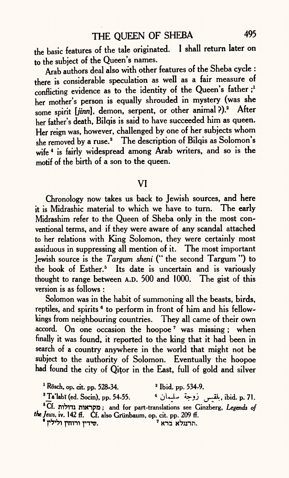the basic features of the tale originated. I shall return later on to the subject of the Queen's names.

Arab authors deal also with other features of the Sheba cycle : there is considerable speculation as well as a fair measure of conflicting evidence as to the identity of the Queen's father;<sup>1</sup> her mother's person is equally shrouded in mystery (was she some spirit [jinn], demon, serpent, or other animal?).<sup>2</sup> After her father's death, Bilqis is said to have succeeded him as queen. Her reign was, however, challenged by one of her subjects whom she removed by a ruse.<sup>3</sup> The description of Bilqis as Solomon's wife<sup>4</sup> is fairly widespread among Arab writers, and so is the motif of the birth of a son to the queen.

#### VI

Chronology now takes us back to Jewish sources, and here it is Midrashic material to which we have to turn. The early Midrashim refer to the Queen of Sheba only in the most conventional terms, and if they were aware of any scandal attached to her relations with King Solomon, they were certainly most assiduous in suppressing all mention of it. The most important Jewish source is the *Targum sheni* ("the second Targum") to the book of Esther.<sup>5</sup> Its date is uncertain and is variously thought to range between A.D. 500 and 1000. The gist of this version is as follows :

Solomon was in the habit of summoning all the beasts, birds, reptiles, and spirits <sup>6</sup> to perform in front of him and his fellowkings from neighbouring countries. They all came of their own accord. On one occasion the hoopoe<sup>7</sup> was missing; when finally it was found, it reported to the king that it had been in search of a country anywhere in the world that might not be subject to the authority of Solomon. Eventually the hoopoe had found the city of Qitor in the East, full of gold and silver

 $1$  Rösch, op. cit. pp. 528-34.  $2$  Ibid. pp. 534-9.

3 Ta'Iabi (ed. Socin), pp. 54-55. 4 jUU *\*»-jj (J^,->* ibid. p. 71.

Cf. lYiTTTJ nitnpfi ; and for part-translations see Ginzberg, *Legends of the Jews,* iv. 142 ff. Cf. also Griinbaum, op. cit. pp. 209 ff.

שידין ורוחין ולילין "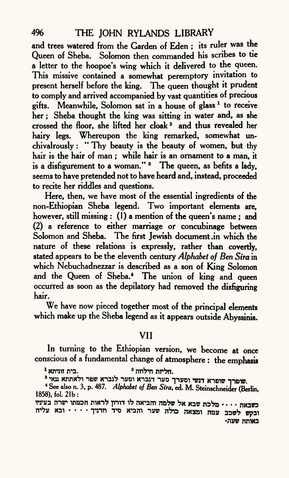and trees watered from the Garden of Eden ; its ruler was the Queen of Sheba. Solomon then commanded his scribes to tie a letter to the hoopoe's wing which it delivered to the queen. This missive contained a somewhat peremptory invitation to present herself before the king. The queen thought it prudent to comply and arrived accompanied by vast quantities of precious gifts. Meanwhile, Solomon sat in a house of glass<sup>1</sup> to receive her; Sheba thought the king was sitting in water and, as she crossed the floor, she lifted her cloak 2 and thus revealed her hairy legs. Whereupon the king remarked, somewhat unchivalrously: " Thy beauty is the beauty of women, but thy hair is the hair of man ; while hair is an ornament to a man, it is a disfigurement to a woman."<sup>3</sup> The queen, as befits a lady, seems to have pretended not to have heard and, instead, proceeded to recite her riddles and questions.

Here, then, we have most of the essential ingredients of the non-Ethiopian Sheba legend. Two important elements are, however, still missing : (1) a mention of the queen's name; and (2) a reference to either marriage or concubinage between Solomon and Sheba. The first Jewish document .in which the nature of these relations is expressly, rather than covertly, stated appears to be the eleventh century *Alphabet of Ben Sira* in which Nebuchadnezzar is described as a son of King Solomon and the Queen of Sheba.4 The union of king and queen occurred as soon as the depilatory had removed the disfiguring hair.

We have now pieced together most of the principal elements which make up the Sheba legend as it appears outside Abyssinia.

# VII

In turning to the Ethiopian version, we become at once conscious of a fundamental change of atmosphere : the emphasis

 $^1$  זוגית הילוזה.  $^2$ 

שופרך שופרא דנשי וסערך סער דגברא וסער לגברא שפר ולאתתא עאי <sup>8</sup>.

4 See also n. 3, p. 487. *Alphabet of Ben Sira,* ed. M. Steinschneider (Berlin, 1858), fol. 21b:

rrs?a mar inasn win1? pin V? moam *rvfrv* ?« xa& naVo n«aw ובקש לשכב עמה ומצאה כולה שער והביא סיד וזרניך . . . . ובא עליה באותה שעה•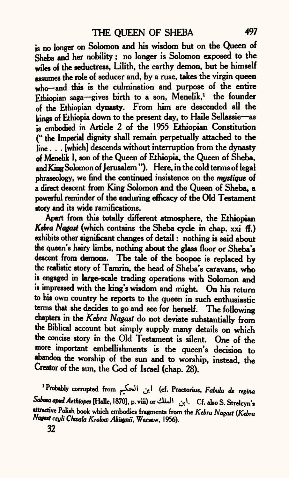is no longer on Solomon and his wisdom but on the Queen of Sheba and her nobility ; no longer is Solomon exposed to the wiles of the seductress, Lilith, the earthy demon, but he himself assumes the role of seducer and, by a ruse, takes the virgin queen who-and this is the culmination and purpose of the entire Ethiopian saga-gives birth to a son, Menelik,<sup>1</sup> the founder of the Ethiopian dynasty. From him are descended all the kings of Ethiopia down to the present day, to Haile Sellassie-as is embodied in Article 2 of the 1955 Ethiopian Constitution (" the Imperial dignity shall remain perpetually attached to the line . . . [which] descends without interruption from the dynasty of Menelik I, son of the Queen of Ethiopia, the Queen of Sheba, and King Solomon of Jerusalem "). Here, in the cold terms of legal phraseology, we find die continued insistence on the *mystique* of a direct descent from King Solomon and the Queen of Sheba, a powerful reminder of the enduring efficacy of the Old Testament story and its wide ramifications.

Apart from this totally different atmosphere, the Ethiopian Kebra Nagast (which contains the Sheba cycle in chap. xxi ff.) exhibits other significant changes of detail : nothing is said about the queen's hairy limbs, nothing about the glass floor or Sheba's descent from demons. The tale of the hoopoe is replaced by the realistic story of Tamrin, the head of Sheba's caravans, who is engaged in large-scale trading operations with Solomon and is impressed with the king's wisdom and might. On his return to his own country he reports to the queen in such enthusiastic terms that she decides to go and see for herself. The following chapters in the *Kebra Nagast* do not deviate substantially from the Biblical account but simply supply many details on which the concise story in the Old Testament is silent. One of the more important embellishments is the queen's decision to abandon the worship of the sun and to worship, instead, the Creator of the sun, the God of Israel (chap. 28).

**Probably corrupted from** *^f^^ <y\* **(cf. Praetorius,** *Fabula de rcgina*  $S$ abaea apud Aethiopes [Halle, 1870], p. viii) or أبن الملك. Cf. also S. Strelcyn's  **ttractive Polish book which embodies fragments from the** *Kebra Nagast (Kebra Nagatt czyli Choala Krolow Abisynii,* **Warsaw, 1956).**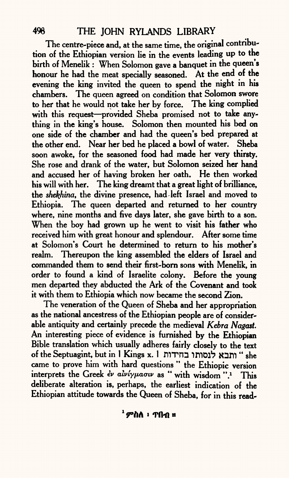The centre-piece and, at the same time, the original contribution of the Ethiopian version lie in the events leading up to the birth of Menelik : When Solomon gave a banquet in the queen's honour he had the meat specially seasoned. At the end of the evening the king invited the queen to spend the night in his chambers. The queen agreed on condition that Solomon swore to her that he would not take her by force. The king complied with this request-provided Sheba promised not to take anything in the king's house. Solomon then mounted his bed on one side of the chamber and had the queen's bed prepared at the other end. Near her bed he placed a bowl of water. Sheba soon awoke, for the seasoned food had made her very thirsty. She rose and drank of the water, but Solomon seized her hand and accused her of having broken her oath. He then worked his will with her. The king dreamt that a great light of brilliance, the *shekhina,* the divine presence, had-left Israel and moved to Ethiopia. The queen departed and returned to her country where, nine months and five days later, she gave birth to a son. When the boy had grown up he went to visit his father who received him with great honour and splendour. After some time at Solomon's Court he determined to return to his mother's realm. Thereupon the king assembled the elders of Israel and commanded them to send their first-born sons with Menelik, in order to found a kind of Israelite colony. Before the young men departed they abducted the Ark of the Covenant and took it with them to Ethiopia which now became the second Zion.

The veneration of the Queen of Sheba and her appropriation as the national ancestress of the Ethiopian people are of considerable antiquity and certainly precede the medieval *Kebra Nagast.*  An interesting piece of evidence is furnished by the Ethiopian Bible translation which usually adheres fairly closely to the text of the Septuagint, but in 1 Kings x. 1 ותבא לנסותו בחידות came to prove him with hard questions " the Ethiopic version interprets the Greek *ἐν αἰνίγμασιν* as " with wisdom ".<sup>1</sup> This deliberate alteration is, perhaps, the earliest indication of the Ethiopian attitude towards the Queen of Sheba, for in this read-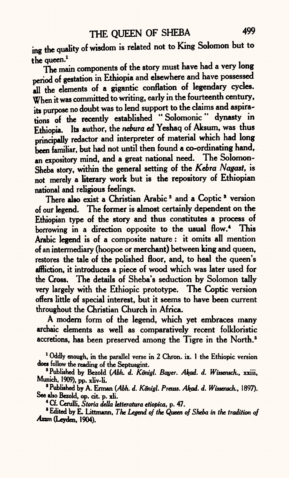ing the quality of wisdom is related not to King Solomon but to the queen.<sup>1</sup>

The main components of the story must have had a very long period of gestation in Ethiopia and elsewhere and have possesse<sup>d</sup> all the elements of a gigantic conflation of legendary cycles. When it was committed to writing, early in the fourteenth century, its purpose no doubt was to lend support to the claims and aspirations of the recently established "Solomonic" dynasty in Ethiopia. Its author, the *nebura ed* Yeshaq of Aksum, was thus principally redactor and interpreter of material which had long been familiar, but had not until then found a co-ordinating hand, an expository mind, and a great national need. The Solomon-Sheba story, within the general setting of the *Kebra Nagast,* is not merely a literary work but is the repository of Ethiopian national and religious feelings.

There also exist a Christian Arabic<sup>2</sup> and a Coptic<sup>3</sup> version of our legend. The former is almost certainly dependent on the Ethiopian type of the story and thus constitutes a process of borrowing in a direction opposite to the usual flow.<sup>4</sup> This Arabic legend is of a composite nature: it omits all mention of an intermediary (hoopoe or merchant) between king and queen, restores the tale of the polished floor, and, to heal the queen's affliction, it introduces a piece of wood which was later used for the Cross. The details of Sheba's seduction by Solomon tally very largely with the Ethiopic prototype. The Coptic version offers little of special interest, but it seems to have been current throughout the Christian Church in Africa.

A modern form of the legend, which yet embraces many archaic elements as well as comparatively recent folkloristic accretions, has been preserved among the Tigre in the North.<sup>5</sup>

<sup>1</sup> Oddly enough, in the parallel verse in 2 Chron. ix. 1 the Ethiopic version does follow the reading of the Septuagint.

<sup>8</sup> Published by Bezold (Abh. *d. Königl. Bayer. Akad. d. Wissensch., xxiii,* Munich, 1909), pp. xliv-li.

<sup>8</sup> Published by A. Erman *(Abh. d. Königl. Preuss. Akad. d. Wissensch.*, 1897). See also Bezold, op. cit. p. xli.

4 Cf. Cerulli, *Storia della leiteratura etiopica,* p. 47.

' Edited by E. Littmann, *The Legend of the Queen of Sheba in the tradition of Axm* (Leyden, 1904).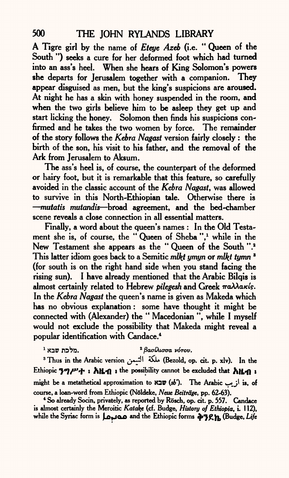A Tigre girl by the name of *Eteye Azeb* (i.e. " Queen of the South ") seeks a cure for her deformed foot which had turned into an ass's heel. When she hears of King Solomon's powers she departs for Jerusalem together with a companion. They appear disguised as men, but the king's suspicions are aroused. At night he has a skin with honey suspended in the room, and when the two girls believe him to be asleep they get up and start licking the honey. Solomon then finds his suspicions confirmed and he takes the two women by force. The remainder of the story follows the *Kebra Nagast* version fairly closely : the birth of the son, his visit to his father, and the removal of the Ark from Jerusalem to Aksum.

The ass's heel is, of course, the counterpart of the deformed or hairy foot, but it is remarkable that this feature, so carefully avoided in the classic account of the *Kebra Nagast,* was allowed to survive in this North-Ethiopian tale. Otherwise there is *mutatis mutandis —* broad agreement, and the bed-chamber scene reveals a close connection in all essential matters.

Finally, a word about the queen's names : In the Old Testament she is, of course, the "Queen of Sheba",<sup>1</sup> while in the New Testament she appears as the "Queen of the South ".<sup>2</sup> This latter idiom goes back to a Semitic *mlkt ymyn* or *mUtf tymn* \* (for south is on the right hand side when you stand facing the rising sun). I have already mentioned that the Arabic Bilqis is almost certainly related to Hebrew *pilegesh* and Greek  $\pi$ a $\lambda\lambda$ akis. In the *Kebra Nagast* the queen's name is given as Makeda which has no obvious explanation : some have thought it might be connected with (Alexander) the " Macedonian ", while I myself would not exclude the possibility that Makeda might reveal <sup>a</sup> popular identification with Candace.4

#### <sup>2</sup> βασίλισσα νότου. מלכת שבא <sup>1</sup>.

3 Thus in the Arabic version *(j+~\$\ &\** (Bezold, op. cit. p. xlv). In the Ethiopic  $\mathbf{39}P^{\prime}+\mathbf{i}$   $\mathbf{h}$ **H** $\mathbf{f}$  **:** the possibility cannot be excluded that  $\mathbf{h}$ **H** $\mathbf{f}$  **:** might be a metathetical approximation to  $\aleph 2\mathfrak{v}(sb')$ . The Arabic  $\omega$ ; is, of course, a loan-word from Ethiopic (Noldeke, *Neue Beitrage,* pp. 62-63).

<sup>4</sup> So already Socin, privately, as reported by Rösch, op. cit. p. 557. Candace is almost certainly the Meroitic *Katake* (cf. Budge, *History of Ethiopia,* i. 1 12), while the Syriac form is **j^joo** and the Ethiopic forms «^"}£V|, (Budge, *Life*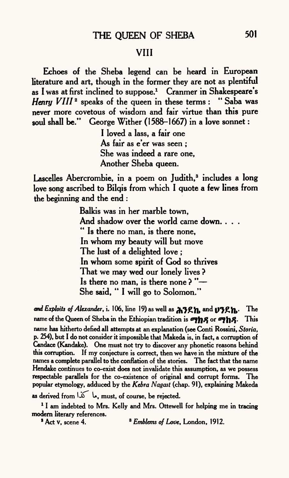## VIII

Echoes of the Sheba legend can be heard in European literature and art, though in the former they are not as plentiful as I was at first inclined to suppose.<sup>1</sup> Cranmer in Shakespeare's *Henry VIII*<sup>2</sup> speaks of the queen in these terms : " Saba was never more covetous of wisdom and fair virtue than this pure soul shall be." George Wither (1588-1667) in a love sonnet :

> I loved a lass, a fair one As fair as e'er was seen ; She was indeed a rare one. Another Sheba queen.

Lascelles Abercrombie, in a poem on Judith,<sup>3</sup> includes a long love song ascribed to Bilqis from which I quote a few lines from the beginning and the end :

> Balkis was in her marble town, And shadow over the world came down. . . . " Is there no man, is there none, In whom my beauty will but move The lust of a delighted love ; In whom some spirit of God so thrives That we may wed our lonely lives ? Is there no man, is there none ? " She said, " I will go to Solomon."

**and Exploits of Alexander, i. 106, line 19) as well as**  $\lambda$ **39h, and <b>U39h.**  $\mathbf{The}$ name of the Queen of Sheba in the Ethiopian tradition is **The** S<sub>2</sub> or  $\sigma$ <sup>3</sup>h<sub>2</sub>. This name has hitherto defied all attempts at an explanation (see Conti Rossini, *Storia,*  p. 254), but I do not consider it impossible that Makeda is, in fact, a corruption of Candace (Kandake). One must not try to discover any phonetic reasons behind this corruption. If my conjecture is correct, then we have in the mixture of the names <sup>a</sup>complete parallel to the conflation of the stories. The fact that the name Hendake continues to co-exist does not invalidate this assumption, as we possess respectable parallels for the co-existence of original and corrupt forms. The popular etymology, adduced by the *Kebra Nagast* (chap. 91), explaining Makeda

as derived from  $\overrightarrow{\omega}$  le. must, of course, be rejected.

<sup>1</sup> I am indebted to Mrs. Kelly and Mrs. Ottewell for helping me in tracing modern literary references.<br><sup>3</sup> Act v, scene 4.

<sup>8</sup> Emblems of Love, London, 1912.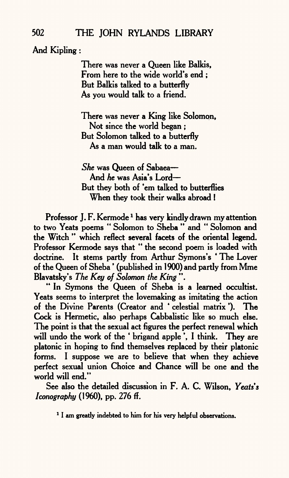And Kipling:

There was never a Queen like Balkis, From here to the wide world's end ; But Balkis talked to a butterfly As you would talk to a friend.

There was never a King like Solomon, Not since the world began ; But Solomon talked to a butterfly As <sup>a</sup>man would talk to a man.

*She* was Queen of Sabaea And *he* was Asia's Lord But they both of 'em talked to butterflies When they took their walks abroad !

Professor J. F. Kermode<sup>1</sup> has very kindly drawn my attention to two Yeats poems " Solomon to Sheba " and " Solomon and the Witch " which reflect several facets of the oriental legend. Professor Kermode says that " the second poem is loaded with doctrine. It stems partly from Arthur Symons's ' The Lover of the Queen of Sheba \* (published in 1900) and partly from Mme Blavatsky's *The Key of Solomon the King* ".

" In Symons the Queen of Sheba is a learned occultist. Yeats seems to interpret the lovemaking as imitating the action of the Divine Parents (Creator and \* celestial matrix \*). The Cock is Hermetic, also perhaps Cabbalistic like so much else. The point is that the sexual act figures the perfect renewal which will undo the work of the 'brigand apple'. I think. They are platonic in hoping to find themselves replaced by their platonic forms. I suppose we are to believe that when they achieve perfect sexual union Choice and Chance will be one and the world will end."

See also the detailed discussion in F. A. C. Wilson, *Yeats's Iconography* (1960), pp. 276 ff.

<sup>1</sup> I am greatly indebted to him for his very helpful observations.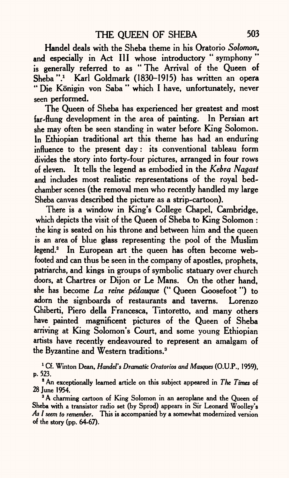Handel deals with the Sheba theme in his Oratorio *Solomon,*  and especially in Act III whose introductory " symphony " is generally referred to as " The Arrival of the Queen of Sheba".<sup>1</sup> Karl Goldmark (1830-1915) has written an opera " Die Königin von Saba " which I have, unfortunately, never seen performed.

The Queen of Sheba has experienced her greatest and most far-flung development in the area of painting. In Persian art she may often be seen standing in water before King Solomon. In Ethiopian traditional art this theme has had an enduring influence to the present day: its conventional tableau form divides the story into forty-four pictures, arranged in four rows of eleven. It tells the legend as embodied in the *Kebra Nagast*  and includes most realistic representations of the royal bedchamber scenes (the removal men who recently handled my large Sheba canvas described the picture as a strip-cartoon).

There is a window in King's College Chapel, Cambridge, which depicts the visit of the Queen of Sheba to King Solomon : the king is seated on his throne and between him and the queen is an area of blue glass representing the pool of the Muslim legend.2 In European art the queen has often become webfooted and can thus be seen in the company of apostles, prophets, patriarchs, and kings in groups of symbolic statuary over church doors, at Chartres or Dijon or Le Mans. On the other hand, she has become *La reine pedauque* (" Queen Goosefoot") to adorn the signboards of restaurants and taverns. Lorenzo Ghiberti, Piero della Francesca, Tintoretto, and many others have painted magnificent pictures of the Queen of Sheba arriving at King Solomon's Court, and some young Ethiopian artists have recently endeavoured to represent an amalgam of the Byzantine and Western traditions.3

1 Cf. Winton Dean, *Handel's Dramatic Oratorios and Masques* (O.U.P., 1959), p. 523.

1 An exceptionally learned article on this subject appeared in *The Times* of 28 June 1954.

<sup>3</sup> A charming cartoon of King Solomon in an aeroplane and the Queen of Sheba with a transistor radio set (by Sprod) appears in Sir Leonard Woolley's *As I seem to remember.* This is accompanied by a somewhat modernized version of the story (pp. 64-67).